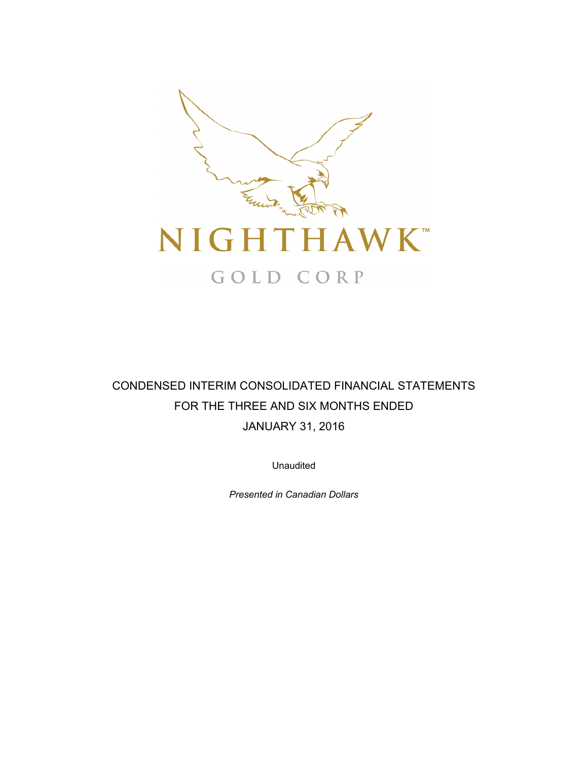

# CONDENSED INTERIM CONSOLIDATED FINANCIAL STATEMENTS FOR THE THREE AND SIX MONTHS ENDED JANUARY 31, 2016

Unaudited

*Presented in Canadian Dollars*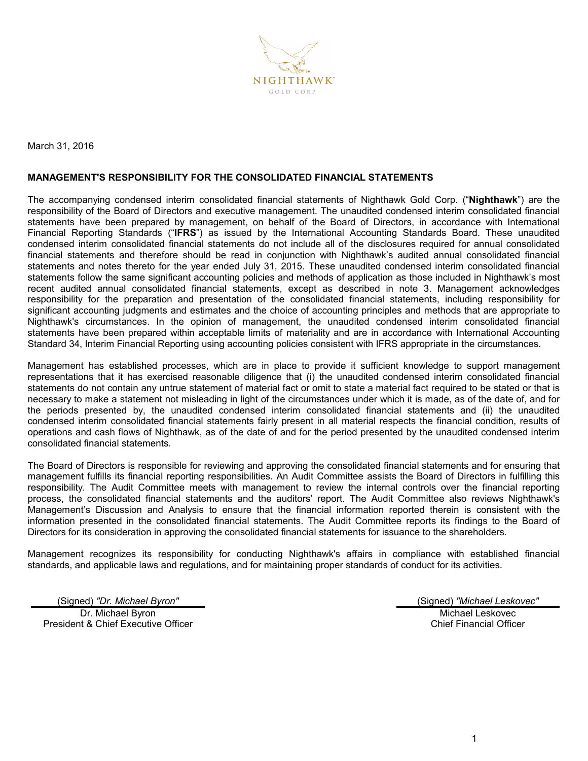

March 31, 2016

## **MANAGEMENT'S RESPONSIBILITY FOR THE CONSOLIDATED FINANCIAL STATEMENTS**

The accompanying condensed interim consolidated financial statements of Nighthawk Gold Corp. ("**Nighthawk**") are the responsibility of the Board of Directors and executive management. The unaudited condensed interim consolidated financial statements have been prepared by management, on behalf of the Board of Directors, in accordance with International Financial Reporting Standards ("**IFRS**") as issued by the International Accounting Standards Board. These unaudited condensed interim consolidated financial statements do not include all of the disclosures required for annual consolidated financial statements and therefore should be read in conjunction with Nighthawk's audited annual consolidated financial statements and notes thereto for the year ended July 31, 2015. These unaudited condensed interim consolidated financial statements follow the same significant accounting policies and methods of application as those included in Nighthawk's most recent audited annual consolidated financial statements, except as described in note 3. Management acknowledges responsibility for the preparation and presentation of the consolidated financial statements, including responsibility for significant accounting judgments and estimates and the choice of accounting principles and methods that are appropriate to Nighthawk's circumstances. In the opinion of management, the unaudited condensed interim consolidated financial statements have been prepared within acceptable limits of materiality and are in accordance with International Accounting Standard 34, Interim Financial Reporting using accounting policies consistent with IFRS appropriate in the circumstances.

Management has established processes, which are in place to provide it sufficient knowledge to support management representations that it has exercised reasonable diligence that (i) the unaudited condensed interim consolidated financial statements do not contain any untrue statement of material fact or omit to state a material fact required to be stated or that is necessary to make a statement not misleading in light of the circumstances under which it is made, as of the date of, and for the periods presented by, the unaudited condensed interim consolidated financial statements and (ii) the unaudited condensed interim consolidated financial statements fairly present in all material respects the financial condition, results of operations and cash flows of Nighthawk, as of the date of and for the period presented by the unaudited condensed interim consolidated financial statements.

The Board of Directors is responsible for reviewing and approving the consolidated financial statements and for ensuring that management fulfills its financial reporting responsibilities. An Audit Committee assists the Board of Directors in fulfilling this responsibility. The Audit Committee meets with management to review the internal controls over the financial reporting process, the consolidated financial statements and the auditors' report. The Audit Committee also reviews Nighthawk's Management's Discussion and Analysis to ensure that the financial information reported therein is consistent with the information presented in the consolidated financial statements. The Audit Committee reports its findings to the Board of Directors for its consideration in approving the consolidated financial statements for issuance to the shareholders.

Management recognizes its responsibility for conducting Nighthawk's affairs in compliance with established financial standards, and applicable laws and regulations, and for maintaining proper standards of conduct for its activities.

Dr. Michael Byron President & Chief Executive Officer

(Signed) *"Dr. Michael Byron"* (Signed) *"Michael Leskovec"* Michael Leskovec Chief Financial Officer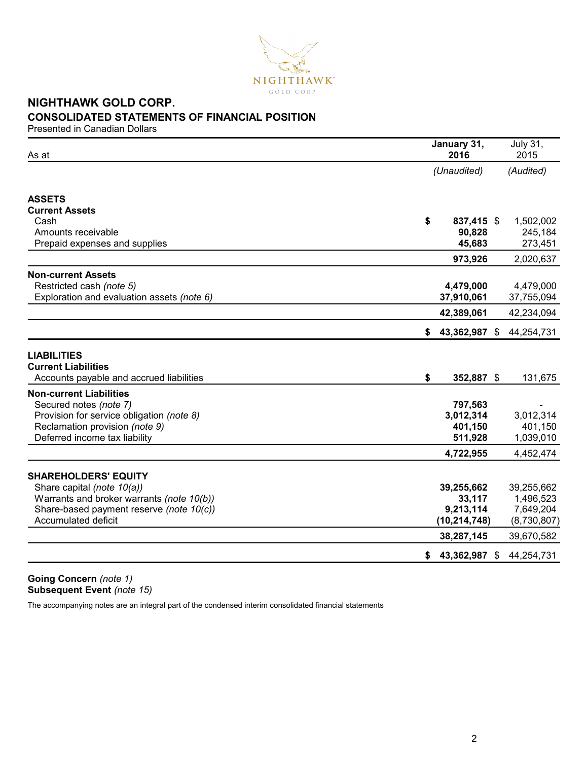

# **NIGHTHAWK GOLD CORP. CONSOLIDATED STATEMENTS OF FINANCIAL POSITION**

Presented in Canadian Dollars

| As at                                                                                        | January 31,<br>2016 | <b>July 31,</b><br>2015 |
|----------------------------------------------------------------------------------------------|---------------------|-------------------------|
|                                                                                              | (Unaudited)         | (Audited)               |
| <b>ASSETS</b>                                                                                |                     |                         |
| <b>Current Assets</b>                                                                        |                     |                         |
| Cash                                                                                         | \$<br>837,415 \$    | 1,502,002               |
| Amounts receivable                                                                           | 90,828              | 245,184                 |
| Prepaid expenses and supplies                                                                | 45,683              | 273,451                 |
|                                                                                              | 973,926             | 2,020,637               |
| <b>Non-current Assets</b>                                                                    |                     |                         |
| Restricted cash (note 5)                                                                     | 4,479,000           | 4,479,000               |
| Exploration and evaluation assets (note 6)                                                   | 37,910,061          | 37,755,094              |
|                                                                                              | 42,389,061          | 42,234,094              |
|                                                                                              | 43,362,987 \$<br>\$ | 44,254,731              |
| <b>LIABILITIES</b><br><b>Current Liabilities</b><br>Accounts payable and accrued liabilities | \$<br>352,887 \$    | 131,675                 |
| <b>Non-current Liabilities</b>                                                               |                     |                         |
| Secured notes (note 7)                                                                       | 797,563             |                         |
| Provision for service obligation (note 8)                                                    | 3,012,314           | 3,012,314               |
| Reclamation provision (note 9)                                                               | 401,150             | 401,150                 |
| Deferred income tax liability                                                                | 511,928             | 1,039,010               |
|                                                                                              | 4,722,955           | 4,452,474               |
|                                                                                              |                     |                         |
| <b>SHAREHOLDERS' EQUITY</b>                                                                  |                     |                         |
| Share capital (note 10(a))                                                                   | 39,255,662          | 39,255,662              |
| Warrants and broker warrants (note 10(b))                                                    | 33,117              | 1,496,523               |
| Share-based payment reserve (note 10(c))                                                     | 9,213,114           | 7,649,204               |
| <b>Accumulated deficit</b>                                                                   | (10, 214, 748)      | (8,730,807)             |
|                                                                                              | 38,287,145          | 39,670,582              |
|                                                                                              | 43,362,987 \$<br>\$ | 44,254,731              |

**Going Concern** *(note 1)* **Subsequent Event** *(note 15)*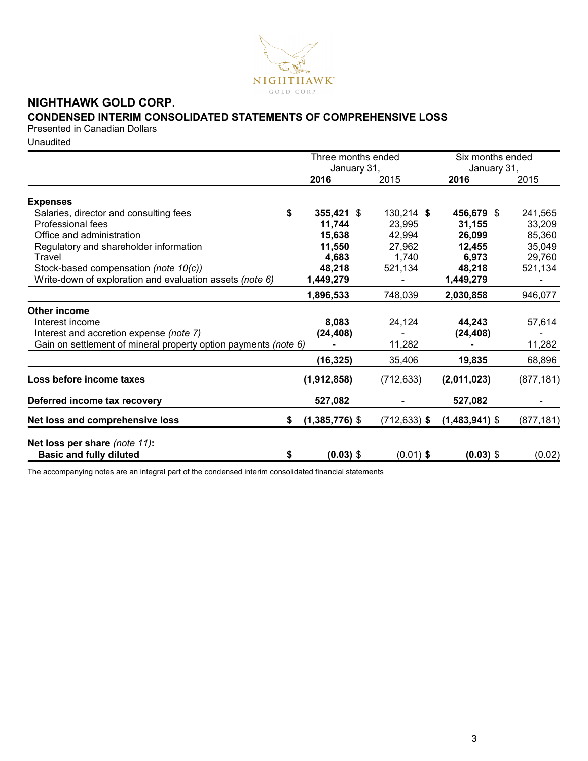

# **NIGHTHAWK GOLD CORP.**

# **CONDENSED INTERIM CONSOLIDATED STATEMENTS OF COMPREHENSIVE LOSS**

Presented in Canadian Dollars

Unaudited

|                                                                 |    | Three months ended<br>January 31, |                 | Six months ended<br>January 31, |            |  |
|-----------------------------------------------------------------|----|-----------------------------------|-----------------|---------------------------------|------------|--|
|                                                                 |    | 2016                              | 2015            | 2016                            | 2015       |  |
| <b>Expenses</b>                                                 |    |                                   |                 |                                 |            |  |
| Salaries, director and consulting fees                          | \$ | 355,421 \$                        | $130,214$ \$    | 456,679 \$                      | 241,565    |  |
| Professional fees                                               |    | 11,744                            | 23,995          | 31,155                          | 33,209     |  |
| Office and administration                                       |    | 15,638                            | 42,994          | 26,099                          | 85,360     |  |
| Regulatory and shareholder information                          |    | 11,550                            | 27,962          | 12,455                          | 35,049     |  |
| Travel                                                          |    | 4,683                             | 1,740           | 6,973                           | 29,760     |  |
| Stock-based compensation (note 10(c))                           |    | 48,218                            | 521,134         | 48,218                          | 521,134    |  |
| Write-down of exploration and evaluation assets (note 6)        |    | 1,449,279                         |                 | 1,449,279                       |            |  |
|                                                                 |    | 1,896,533                         | 748,039         | 2,030,858                       | 946,077    |  |
| <b>Other income</b>                                             |    |                                   |                 |                                 |            |  |
| Interest income                                                 |    | 8,083                             | 24,124          | 44,243                          | 57,614     |  |
| Interest and accretion expense (note 7)                         |    | (24, 408)                         |                 | (24, 408)                       |            |  |
| Gain on settlement of mineral property option payments (note 6) |    |                                   | 11,282          |                                 | 11,282     |  |
|                                                                 |    | (16, 325)                         | 35,406          | 19,835                          | 68,896     |  |
| Loss before income taxes                                        |    | (1,912,858)                       | (712, 633)      | (2,011,023)                     | (877, 181) |  |
| Deferred income tax recovery                                    |    | 527,082                           |                 | 527,082                         |            |  |
| Net loss and comprehensive loss                                 | S  | $(1,385,776)$ \$                  | $(712, 633)$ \$ | $(1,483,941)$ \$                | (877, 181) |  |
| Net loss per share (note 11):                                   |    |                                   |                 |                                 |            |  |
| <b>Basic and fully diluted</b>                                  | \$ | $(0.03)$ \$                       | $(0.01)$ \$     | $(0.03)$ \$                     | (0.02)     |  |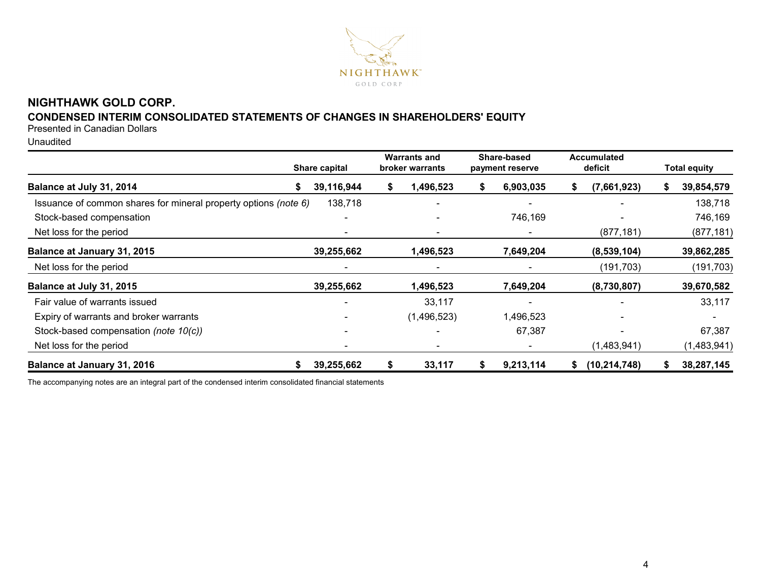

# **NIGHTHAWK GOLD CORP.**

# **CONDENSED INTERIM CONSOLIDATED STATEMENTS OF CHANGES IN SHAREHOLDERS' EQUITY**

Presented in Canadian Dollars

Unaudited

|                                                                 | Share capital | <b>Warrants and</b><br>broker warrants |    | Share-based<br>payment reserve |    | <b>Accumulated</b><br>deficit |   | <b>Total equity</b> |
|-----------------------------------------------------------------|---------------|----------------------------------------|----|--------------------------------|----|-------------------------------|---|---------------------|
| Balance at July 31, 2014<br>S                                   | 39,116,944    | \$<br>1,496,523                        | S  | 6,903,035                      | æ. | (7,661,923)                   | ъ | 39,854,579          |
| Issuance of common shares for mineral property options (note 6) | 138,718       |                                        |    |                                |    |                               |   | 138,718             |
| Stock-based compensation                                        |               |                                        |    | 746,169                        |    |                               |   | 746,169             |
| Net loss for the period                                         |               |                                        |    |                                |    | (877, 181)                    |   | (877, 181)          |
| Balance at January 31, 2015                                     | 39,255,662    | 1,496,523                              |    | 7,649,204                      |    | (8,539,104)                   |   | 39,862,285          |
| Net loss for the period                                         |               |                                        |    |                                |    | (191, 703)                    |   | (191, 703)          |
| Balance at July 31, 2015                                        | 39,255,662    | 1,496,523                              |    | 7,649,204                      |    | (8,730,807)                   |   | 39,670,582          |
| Fair value of warrants issued                                   |               | 33,117                                 |    |                                |    |                               |   | 33,117              |
| Expiry of warrants and broker warrants                          |               | (1,496,523)                            |    | 1,496,523                      |    |                               |   |                     |
| Stock-based compensation (note 10(c))                           |               |                                        |    | 67,387                         |    |                               |   | 67,387              |
| Net loss for the period                                         |               |                                        |    |                                |    | (1,483,941)                   |   | (1,483,941)         |
| Balance at January 31, 2016                                     | 39,255,662    | \$<br>33,117                           | S. | 9,213,114                      | \$ | (10, 214, 748)                |   | 38,287,145          |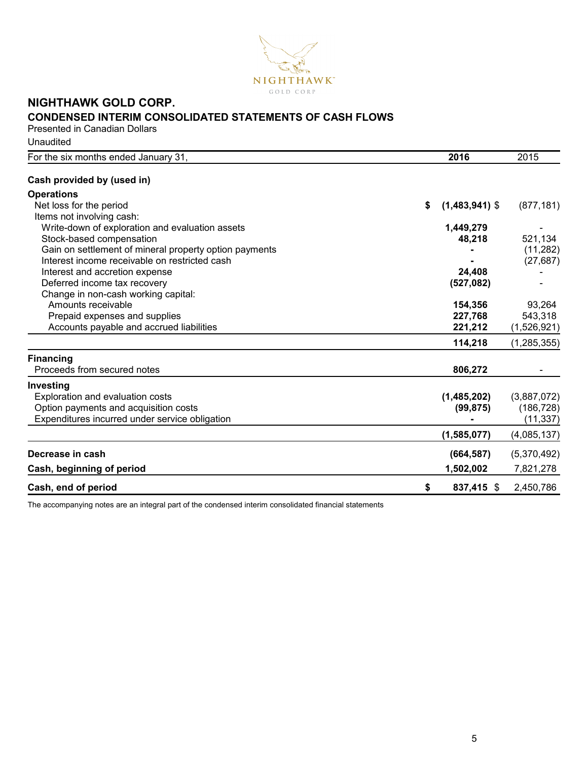

# **NIGHTHAWK GOLD CORP. CONDENSED INTERIM CONSOLIDATED STATEMENTS OF CASH FLOWS**

Presented in Canadian Dollars

Unaudited

| For the six months ended January 31,                   | 2016                   | 2015          |
|--------------------------------------------------------|------------------------|---------------|
| Cash provided by (used in)                             |                        |               |
| <b>Operations</b>                                      |                        |               |
| Net loss for the period                                | \$<br>$(1,483,941)$ \$ | (877, 181)    |
| Items not involving cash:                              |                        |               |
| Write-down of exploration and evaluation assets        | 1,449,279              |               |
| Stock-based compensation                               | 48,218                 | 521,134       |
| Gain on settlement of mineral property option payments |                        | (11, 282)     |
| Interest income receivable on restricted cash          |                        | (27, 687)     |
| Interest and accretion expense                         | 24,408                 |               |
| Deferred income tax recovery                           | (527, 082)             |               |
| Change in non-cash working capital:                    |                        |               |
| Amounts receivable                                     | 154,356                | 93,264        |
| Prepaid expenses and supplies                          | 227,768                | 543,318       |
| Accounts payable and accrued liabilities               | 221,212                | (1,526,921)   |
|                                                        | 114,218                | (1, 285, 355) |
| <b>Financing</b>                                       |                        |               |
| Proceeds from secured notes                            | 806,272                |               |
| Investing                                              |                        |               |
| Exploration and evaluation costs                       | (1,485,202)            | (3,887,072)   |
| Option payments and acquisition costs                  | (99, 875)              | (186, 728)    |
| Expenditures incurred under service obligation         |                        | (11, 337)     |
|                                                        | (1,585,077)            | (4,085,137)   |
| Decrease in cash                                       | (664, 587)             | (5,370,492)   |
| Cash, beginning of period                              | 1,502,002              | 7,821,278     |
| Cash, end of period                                    | \$<br>837,415 \$       | 2,450,786     |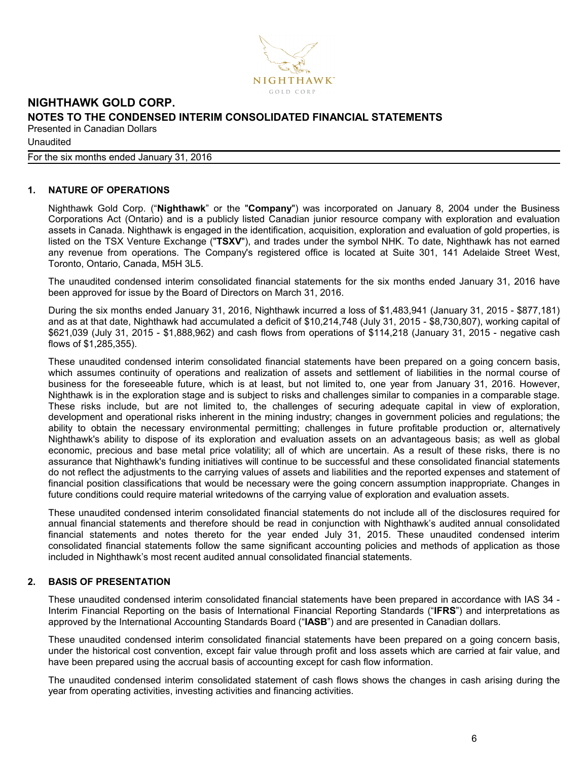

#### For the six months ended January 31, 2016

#### **1. NATURE OF OPERATIONS**

Nighthawk Gold Corp. ("**Nighthawk**" or the "**Company**") was incorporated on January 8, 2004 under the Business Corporations Act (Ontario) and is a publicly listed Canadian junior resource company with exploration and evaluation assets in Canada. Nighthawk is engaged in the identification, acquisition, exploration and evaluation of gold properties, is listed on the TSX Venture Exchange ("**TSXV**"), and trades under the symbol NHK. To date, Nighthawk has not earned any revenue from operations. The Company's registered office is located at Suite 301, 141 Adelaide Street West, Toronto, Ontario, Canada, M5H 3L5.

The unaudited condensed interim consolidated financial statements for the six months ended January 31, 2016 have been approved for issue by the Board of Directors on March 31, 2016.

During the six months ended January 31, 2016, Nighthawk incurred a loss of \$1,483,941 (January 31, 2015 - \$877,181) and as at that date, Nighthawk had accumulated a deficit of \$10,214,748 (July 31, 2015 - \$8,730,807), working capital of \$621,039 (July 31, 2015 - \$1,888,962) and cash flows from operations of \$114,218 (January 31, 2015 - negative cash flows of \$1,285,355).

These unaudited condensed interim consolidated financial statements have been prepared on a going concern basis, which assumes continuity of operations and realization of assets and settlement of liabilities in the normal course of business for the foreseeable future, which is at least, but not limited to, one year from January 31, 2016. However, Nighthawk is in the exploration stage and is subject to risks and challenges similar to companies in a comparable stage. These risks include, but are not limited to, the challenges of securing adequate capital in view of exploration, development and operational risks inherent in the mining industry; changes in government policies and regulations; the ability to obtain the necessary environmental permitting; challenges in future profitable production or, alternatively Nighthawk's ability to dispose of its exploration and evaluation assets on an advantageous basis; as well as global economic, precious and base metal price volatility; all of which are uncertain. As a result of these risks, there is no assurance that Nighthawk's funding initiatives will continue to be successful and these consolidated financial statements do not reflect the adjustments to the carrying values of assets and liabilities and the reported expenses and statement of financial position classifications that would be necessary were the going concern assumption inappropriate. Changes in future conditions could require material writedowns of the carrying value of exploration and evaluation assets.

These unaudited condensed interim consolidated financial statements do not include all of the disclosures required for annual financial statements and therefore should be read in conjunction with Nighthawk's audited annual consolidated financial statements and notes thereto for the year ended July 31, 2015. These unaudited condensed interim consolidated financial statements follow the same significant accounting policies and methods of application as those included in Nighthawk's most recent audited annual consolidated financial statements.

#### **2. BASIS OF PRESENTATION**

These unaudited condensed interim consolidated financial statements have been prepared in accordance with IAS 34 - Interim Financial Reporting on the basis of International Financial Reporting Standards ("**IFRS**") and interpretations as approved by the International Accounting Standards Board ("**IASB**") and are presented in Canadian dollars.

These unaudited condensed interim consolidated financial statements have been prepared on a going concern basis, under the historical cost convention, except fair value through profit and loss assets which are carried at fair value, and have been prepared using the accrual basis of accounting except for cash flow information.

The unaudited condensed interim consolidated statement of cash flows shows the changes in cash arising during the year from operating activities, investing activities and financing activities.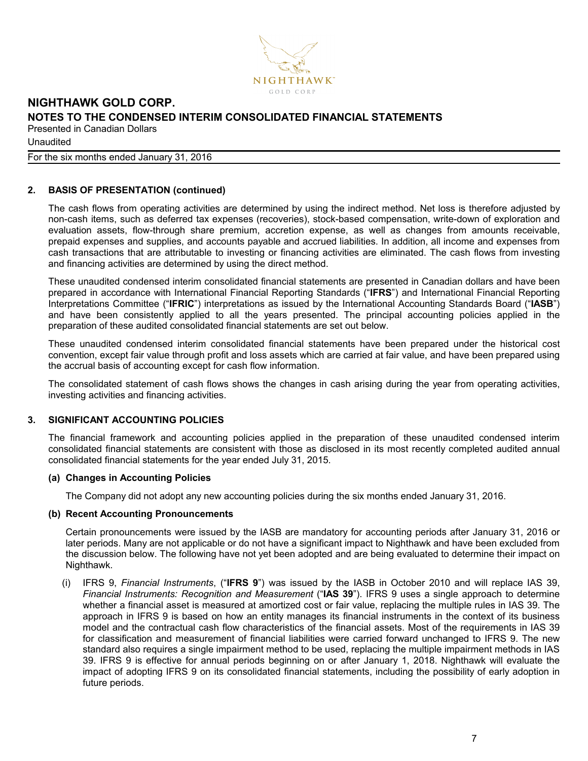

#### For the six months ended January 31, 2016

#### **2. BASIS OF PRESENTATION (continued)**

The cash flows from operating activities are determined by using the indirect method. Net loss is therefore adjusted by non-cash items, such as deferred tax expenses (recoveries), stock-based compensation, write-down of exploration and evaluation assets, flow-through share premium, accretion expense, as well as changes from amounts receivable, prepaid expenses and supplies, and accounts payable and accrued liabilities. In addition, all income and expenses from cash transactions that are attributable to investing or financing activities are eliminated. The cash flows from investing and financing activities are determined by using the direct method.

These unaudited condensed interim consolidated financial statements are presented in Canadian dollars and have been prepared in accordance with International Financial Reporting Standards ("**IFRS**") and International Financial Reporting Interpretations Committee ("**IFRIC**") interpretations as issued by the International Accounting Standards Board ("**IASB**") and have been consistently applied to all the years presented. The principal accounting policies applied in the preparation of these audited consolidated financial statements are set out below.

These unaudited condensed interim consolidated financial statements have been prepared under the historical cost convention, except fair value through profit and loss assets which are carried at fair value, and have been prepared using the accrual basis of accounting except for cash flow information.

The consolidated statement of cash flows shows the changes in cash arising during the year from operating activities, investing activities and financing activities.

#### **3. SIGNIFICANT ACCOUNTING POLICIES**

The financial framework and accounting policies applied in the preparation of these unaudited condensed interim consolidated financial statements are consistent with those as disclosed in its most recently completed audited annual consolidated financial statements for the year ended July 31, 2015.

#### **(a) Changes in Accounting Policies**

The Company did not adopt any new accounting policies during the six months ended January 31, 2016.

#### **(b) Recent Accounting Pronouncements**

Certain pronouncements were issued by the IASB are mandatory for accounting periods after January 31, 2016 or later periods. Many are not applicable or do not have a significant impact to Nighthawk and have been excluded from the discussion below. The following have not yet been adopted and are being evaluated to determine their impact on Nighthawk.

(i) IFRS 9, *Financial Instruments*, ("**IFRS 9**") was issued by the IASB in October 2010 and will replace IAS 39, *Financial Instruments: Recognition and Measurement* ("**IAS 39**"). IFRS 9 uses a single approach to determine whether a financial asset is measured at amortized cost or fair value, replacing the multiple rules in IAS 39. The approach in IFRS 9 is based on how an entity manages its financial instruments in the context of its business model and the contractual cash flow characteristics of the financial assets. Most of the requirements in IAS 39 for classification and measurement of financial liabilities were carried forward unchanged to IFRS 9. The new standard also requires a single impairment method to be used, replacing the multiple impairment methods in IAS 39. IFRS 9 is effective for annual periods beginning on or after January 1, 2018. Nighthawk will evaluate the impact of adopting IFRS 9 on its consolidated financial statements, including the possibility of early adoption in future periods.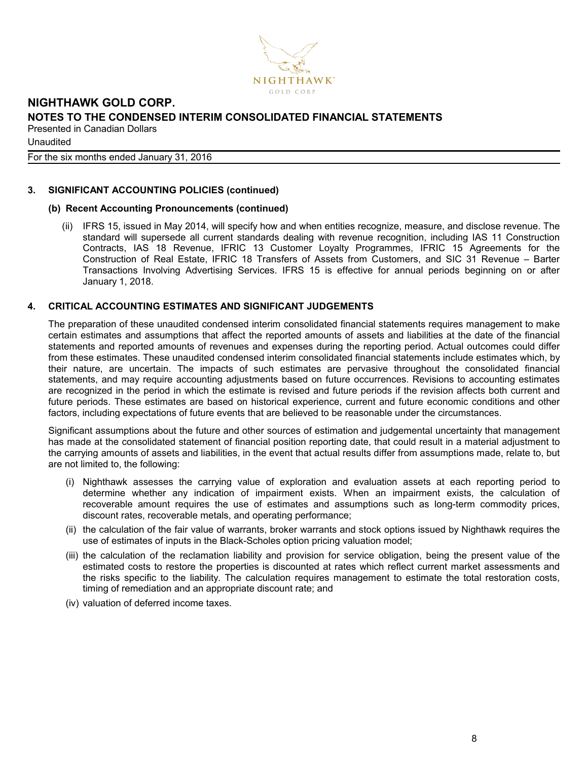

For the six months ended January 31, 2016

#### **3. SIGNIFICANT ACCOUNTING POLICIES (continued)**

### **(b) Recent Accounting Pronouncements (continued)**

(ii) IFRS 15, issued in May 2014, will specify how and when entities recognize, measure, and disclose revenue. The standard will supersede all current standards dealing with revenue recognition, including IAS 11 Construction Contracts, IAS 18 Revenue, IFRIC 13 Customer Loyalty Programmes, IFRIC 15 Agreements for the Construction of Real Estate, IFRIC 18 Transfers of Assets from Customers, and SIC 31 Revenue – Barter Transactions Involving Advertising Services. IFRS 15 is effective for annual periods beginning on or after January 1, 2018.

### **4. CRITICAL ACCOUNTING ESTIMATES AND SIGNIFICANT JUDGEMENTS**

The preparation of these unaudited condensed interim consolidated financial statements requires management to make certain estimates and assumptions that affect the reported amounts of assets and liabilities at the date of the financial statements and reported amounts of revenues and expenses during the reporting period. Actual outcomes could differ from these estimates. These unaudited condensed interim consolidated financial statements include estimates which, by their nature, are uncertain. The impacts of such estimates are pervasive throughout the consolidated financial statements, and may require accounting adjustments based on future occurrences. Revisions to accounting estimates are recognized in the period in which the estimate is revised and future periods if the revision affects both current and future periods. These estimates are based on historical experience, current and future economic conditions and other factors, including expectations of future events that are believed to be reasonable under the circumstances.

Significant assumptions about the future and other sources of estimation and judgemental uncertainty that management has made at the consolidated statement of financial position reporting date, that could result in a material adjustment to the carrying amounts of assets and liabilities, in the event that actual results differ from assumptions made, relate to, but are not limited to, the following:

- (i) Nighthawk assesses the carrying value of exploration and evaluation assets at each reporting period to determine whether any indication of impairment exists. When an impairment exists, the calculation of recoverable amount requires the use of estimates and assumptions such as long-term commodity prices, discount rates, recoverable metals, and operating performance;
- (ii) the calculation of the fair value of warrants, broker warrants and stock options issued by Nighthawk requires the use of estimates of inputs in the Black-Scholes option pricing valuation model;
- (iii) the calculation of the reclamation liability and provision for service obligation, being the present value of the estimated costs to restore the properties is discounted at rates which reflect current market assessments and the risks specific to the liability. The calculation requires management to estimate the total restoration costs, timing of remediation and an appropriate discount rate; and
- (iv) valuation of deferred income taxes.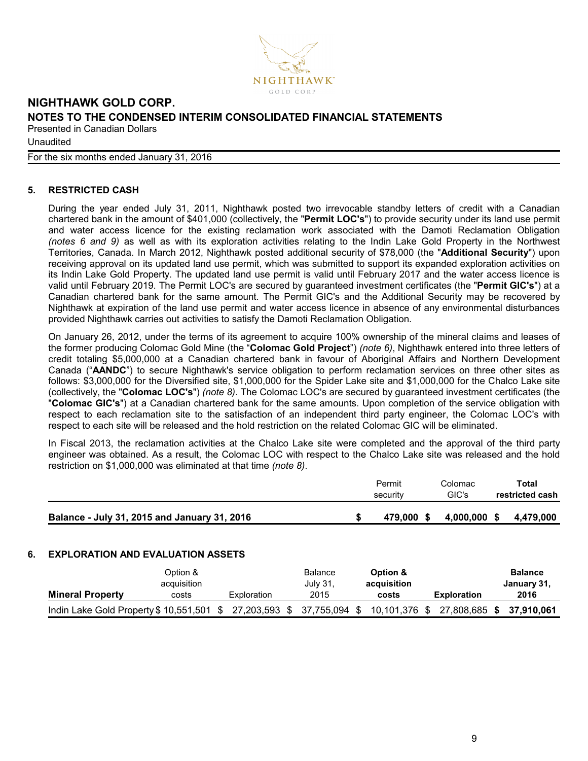

#### For the six months ended January 31, 2016

#### **5. RESTRICTED CASH**

During the year ended July 31, 2011, Nighthawk posted two irrevocable standby letters of credit with a Canadian chartered bank in the amount of \$401,000 (collectively, the "**Permit LOC's**") to provide security under its land use permit and water access licence for the existing reclamation work associated with the Damoti Reclamation Obligation *(notes 6 and 9)* as well as with its exploration activities relating to the Indin Lake Gold Property in the Northwest Territories, Canada. In March 2012, Nighthawk posted additional security of \$78,000 (the "**Additional Security**") upon receiving approval on its updated land use permit, which was submitted to support its expanded exploration activities on its Indin Lake Gold Property. The updated land use permit is valid until February 2017 and the water access licence is valid until February 2019. The Permit LOC's are secured by guaranteed investment certificates (the "**Permit GIC's**") at a Canadian chartered bank for the same amount. The Permit GIC's and the Additional Security may be recovered by Nighthawk at expiration of the land use permit and water access licence in absence of any environmental disturbances provided Nighthawk carries out activities to satisfy the Damoti Reclamation Obligation.

On January 26, 2012, under the terms of its agreement to acquire 100% ownership of the mineral claims and leases of the former producing Colomac Gold Mine (the "**Colomac Gold Project**") *(note 6)*, Nighthawk entered into three letters of credit totaling \$5,000,000 at a Canadian chartered bank in favour of Aboriginal Affairs and Northern Development Canada ("**AANDC**") to secure Nighthawk's service obligation to perform reclamation services on three other sites as follows: \$3,000,000 for the Diversified site, \$1,000,000 for the Spider Lake site and \$1,000,000 for the Chalco Lake site (collectively, the "**Colomac LOC's**") *(note 8)*. The Colomac LOC's are secured by guaranteed investment certificates (the "**Colomac GIC's**") at a Canadian chartered bank for the same amounts. Upon completion of the service obligation with respect to each reclamation site to the satisfaction of an independent third party engineer, the Colomac LOC's with respect to each site will be released and the hold restriction on the related Colomac GIC will be eliminated.

In Fiscal 2013, the reclamation activities at the Chalco Lake site were completed and the approval of the third party engineer was obtained. As a result, the Colomac LOC with respect to the Chalco Lake site was released and the hold restriction on \$1,000,000 was eliminated at that time *(note 8)*.

|                                              | Permit<br>security | Colomac<br>GIC's |      | Total<br>restricted cash |
|----------------------------------------------|--------------------|------------------|------|--------------------------|
| Balance - July 31, 2015 and January 31, 2016 | 479.000 \$         | 4,000,000        | - \$ | 4,479,000                |
|                                              |                    |                  |      |                          |

## **6. EXPLORATION AND EVALUATION ASSETS**

|                                                                 | Option &<br>acquisition |             | Balance<br>July 31, |      | Option &<br>acquisition |                          | <b>Balance</b><br>January 31, |
|-----------------------------------------------------------------|-------------------------|-------------|---------------------|------|-------------------------|--------------------------|-------------------------------|
| <b>Mineral Property</b>                                         | costs                   | Exploration | 2015                |      | costs                   | <b>Exploration</b>       | 2016                          |
| Indin Lake Gold Property \$10,551,501 \$27,203,593 \$37,755,094 |                         |             |                     | - SS | 10,101,376 \$           | 27,808,685 \$ 37,910,061 |                               |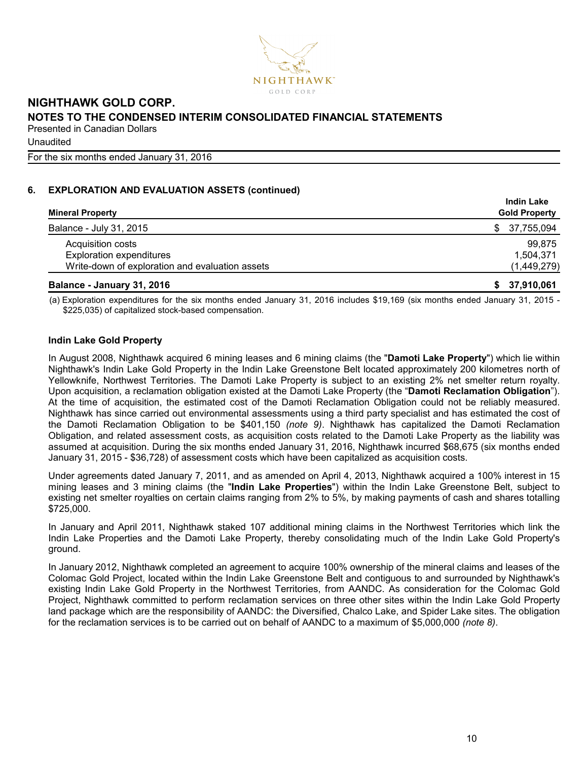

**Unaudited** 

For the six months ended January 31, 2016

# **6. EXPLORATION AND EVALUATION ASSETS (continued)**

| <b>Mineral Property</b>                         | <b>Indin Lake</b><br><b>Gold Property</b> |
|-------------------------------------------------|-------------------------------------------|
| Balance - July 31, 2015                         | 37,755,094<br>SS.                         |
| Acquisition costs                               | 99,875                                    |
| <b>Exploration expenditures</b>                 | 1,504,371                                 |
| Write-down of exploration and evaluation assets | (1,449,279)                               |
| Balance - January 31, 2016                      | \$37,910,061                              |

(a) Exploration expenditures for the six months ended January 31, 2016 includes \$19,169 (six months ended January 31, 2015 - \$225,035) of capitalized stock-based compensation.

# **Indin Lake Gold Property**

In August 2008, Nighthawk acquired 6 mining leases and 6 mining claims (the "**Damoti Lake Property**") which lie within Nighthawk's Indin Lake Gold Property in the Indin Lake Greenstone Belt located approximately 200 kilometres north of Yellowknife, Northwest Territories. The Damoti Lake Property is subject to an existing 2% net smelter return royalty. Upon acquisition, a reclamation obligation existed at the Damoti Lake Property (the "**Damoti Reclamation Obligation**"). At the time of acquisition, the estimated cost of the Damoti Reclamation Obligation could not be reliably measured. Nighthawk has since carried out environmental assessments using a third party specialist and has estimated the cost of the Damoti Reclamation Obligation to be \$401,150 *(note 9)*. Nighthawk has capitalized the Damoti Reclamation Obligation, and related assessment costs, as acquisition costs related to the Damoti Lake Property as the liability was assumed at acquisition. During the six months ended January 31, 2016, Nighthawk incurred \$68,675 (six months ended January 31, 2015 - \$36,728) of assessment costs which have been capitalized as acquisition costs.

Under agreements dated January 7, 2011, and as amended on April 4, 2013, Nighthawk acquired a 100% interest in 15 mining leases and 3 mining claims (the "**Indin Lake Properties**") within the Indin Lake Greenstone Belt, subject to existing net smelter royalties on certain claims ranging from 2% to 5%, by making payments of cash and shares totalling \$725,000.

In January and April 2011, Nighthawk staked 107 additional mining claims in the Northwest Territories which link the Indin Lake Properties and the Damoti Lake Property, thereby consolidating much of the Indin Lake Gold Property's ground.

In January 2012, Nighthawk completed an agreement to acquire 100% ownership of the mineral claims and leases of the Colomac Gold Project, located within the Indin Lake Greenstone Belt and contiguous to and surrounded by Nighthawk's existing Indin Lake Gold Property in the Northwest Territories, from AANDC. As consideration for the Colomac Gold Project, Nighthawk committed to perform reclamation services on three other sites within the Indin Lake Gold Property land package which are the responsibility of AANDC: the Diversified, Chalco Lake, and Spider Lake sites. The obligation for the reclamation services is to be carried out on behalf of AANDC to a maximum of \$5,000,000 *(note 8)*.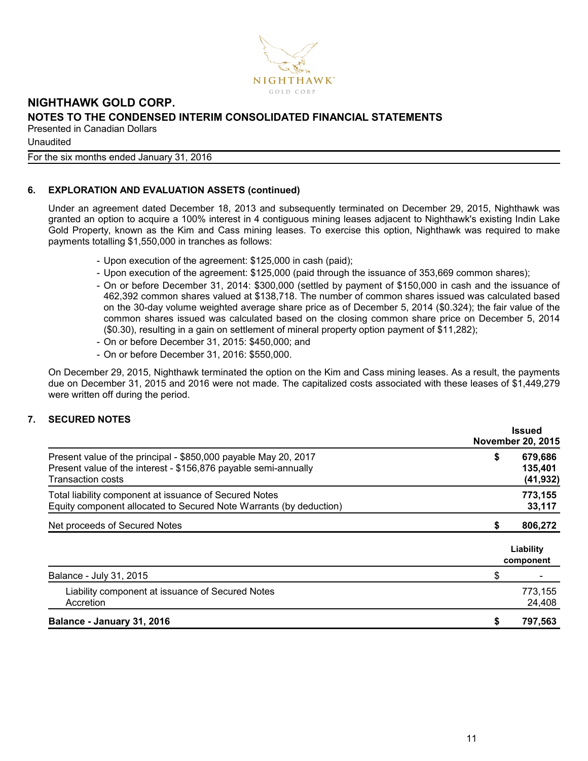

**Unaudited** 

# For the six months ended January 31, 2016

# **6. EXPLORATION AND EVALUATION ASSETS (continued)**

Under an agreement dated December 18, 2013 and subsequently terminated on December 29, 2015, Nighthawk was granted an option to acquire a 100% interest in 4 contiguous mining leases adjacent to Nighthawk's existing Indin Lake Gold Property, known as the Kim and Cass mining leases. To exercise this option, Nighthawk was required to make payments totalling \$1,550,000 in tranches as follows:

- Upon execution of the agreement: \$125,000 in cash (paid);
- Upon execution of the agreement: \$125,000 (paid through the issuance of 353,669 common shares);
- On or before December 31, 2014: \$300,000 (settled by payment of \$150,000 in cash and the issuance of 462,392 common shares valued at \$138,718. The number of common shares issued was calculated based on the 30-day volume weighted average share price as of December 5, 2014 (\$0.324); the fair value of the common shares issued was calculated based on the closing common share price on December 5, 2014 (\$0.30), resulting in a gain on settlement of mineral property option payment of \$11,282);
- On or before December 31, 2015: \$450,000; and
- On or before December 31, 2016: \$550,000.

On December 29, 2015, Nighthawk terminated the option on the Kim and Cass mining leases. As a result, the payments due on December 31, 2015 and 2016 were not made. The capitalized costs associated with these leases of \$1,449,279 were written off during the period.

# **7. SECURED NOTES**

|                                                                                                                                                                |    | <b>Issued</b>                   |
|----------------------------------------------------------------------------------------------------------------------------------------------------------------|----|---------------------------------|
|                                                                                                                                                                |    | <b>November 20, 2015</b>        |
| Present value of the principal - \$850,000 payable May 20, 2017<br>Present value of the interest - \$156,876 payable semi-annually<br><b>Transaction costs</b> | \$ | 679,686<br>135,401<br>(41, 932) |
| Total liability component at issuance of Secured Notes<br>Equity component allocated to Secured Note Warrants (by deduction)                                   |    | 773,155<br>33,117               |
| Net proceeds of Secured Notes                                                                                                                                  | S  | 806,272                         |
|                                                                                                                                                                |    | Liability<br>component          |
| Balance - July 31, 2015                                                                                                                                        | \$ |                                 |
| Liability component at issuance of Secured Notes<br>Accretion                                                                                                  |    | 773,155<br>24,408               |
| Balance - January 31, 2016                                                                                                                                     |    | 797,563                         |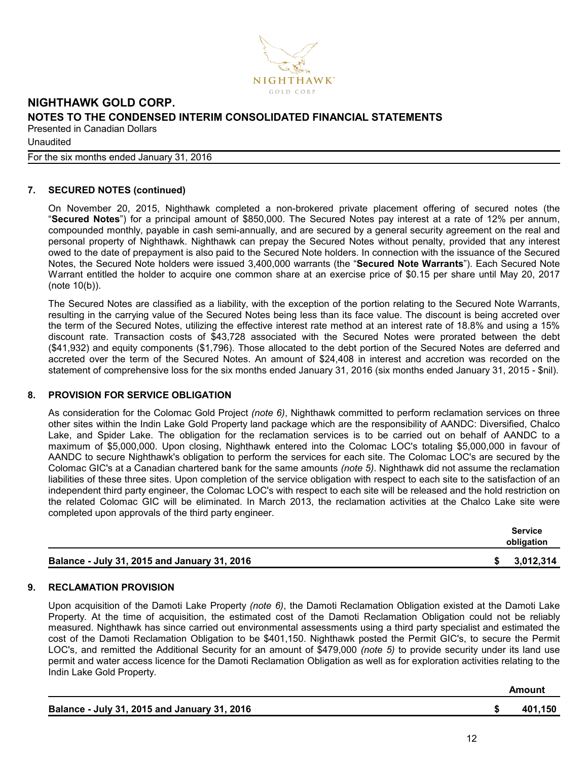

# For the six months ended January 31, 2016

# **7. SECURED NOTES (continued)**

On November 20, 2015, Nighthawk completed a non-brokered private placement offering of secured notes (the "**Secured Notes**") for a principal amount of \$850,000. The Secured Notes pay interest at a rate of 12% per annum, compounded monthly, payable in cash semi-annually, and are secured by a general security agreement on the real and personal property of Nighthawk. Nighthawk can prepay the Secured Notes without penalty, provided that any interest owed to the date of prepayment is also paid to the Secured Note holders. In connection with the issuance of the Secured Notes, the Secured Note holders were issued 3,400,000 warrants (the "**Secured Note Warrants**"). Each Secured Note Warrant entitled the holder to acquire one common share at an exercise price of \$0.15 per share until May 20, 2017 (note 10(b)).

The Secured Notes are classified as a liability, with the exception of the portion relating to the Secured Note Warrants, resulting in the carrying value of the Secured Notes being less than its face value. The discount is being accreted over the term of the Secured Notes, utilizing the effective interest rate method at an interest rate of 18.8% and using a 15% discount rate. Transaction costs of \$43,728 associated with the Secured Notes were prorated between the debt (\$41,932) and equity components (\$1,796). Those allocated to the debt portion of the Secured Notes are deferred and accreted over the term of the Secured Notes. An amount of \$24,408 in interest and accretion was recorded on the statement of comprehensive loss for the six months ended January 31, 2016 (six months ended January 31, 2015 - \$nil).

#### **8. PROVISION FOR SERVICE OBLIGATION**

As consideration for the Colomac Gold Project *(note 6)*, Nighthawk committed to perform reclamation services on three other sites within the Indin Lake Gold Property land package which are the responsibility of AANDC: Diversified, Chalco Lake, and Spider Lake. The obligation for the reclamation services is to be carried out on behalf of AANDC to a maximum of \$5,000,000. Upon closing, Nighthawk entered into the Colomac LOC's totaling \$5,000,000 in favour of AANDC to secure Nighthawk's obligation to perform the services for each site. The Colomac LOC's are secured by the Colomac GIC's at a Canadian chartered bank for the same amounts *(note 5)*. Nighthawk did not assume the reclamation liabilities of these three sites. Upon completion of the service obligation with respect to each site to the satisfaction of an independent third party engineer, the Colomac LOC's with respect to each site will be released and the hold restriction on the related Colomac GIC will be eliminated. In March 2013, the reclamation activities at the Chalco Lake site were completed upon approvals of the third party engineer.

|                                              | Service<br>obligation |
|----------------------------------------------|-----------------------|
| Balance - July 31, 2015 and January 31, 2016 | 3,012,314             |

# **9. RECLAMATION PROVISION**

Upon acquisition of the Damoti Lake Property *(note 6)*, the Damoti Reclamation Obligation existed at the Damoti Lake Property. At the time of acquisition, the estimated cost of the Damoti Reclamation Obligation could not be reliably measured. Nighthawk has since carried out environmental assessments using a third party specialist and estimated the cost of the Damoti Reclamation Obligation to be \$401,150. Nighthawk posted the Permit GIC's, to secure the Permit LOC's, and remitted the Additional Security for an amount of \$479,000 *(note 5)* to provide security under its land use permit and water access licence for the Damoti Reclamation Obligation as well as for exploration activities relating to the Indin Lake Gold Property.

|                                              | Amount  |
|----------------------------------------------|---------|
| Balance - July 31, 2015 and January 31, 2016 | 401.150 |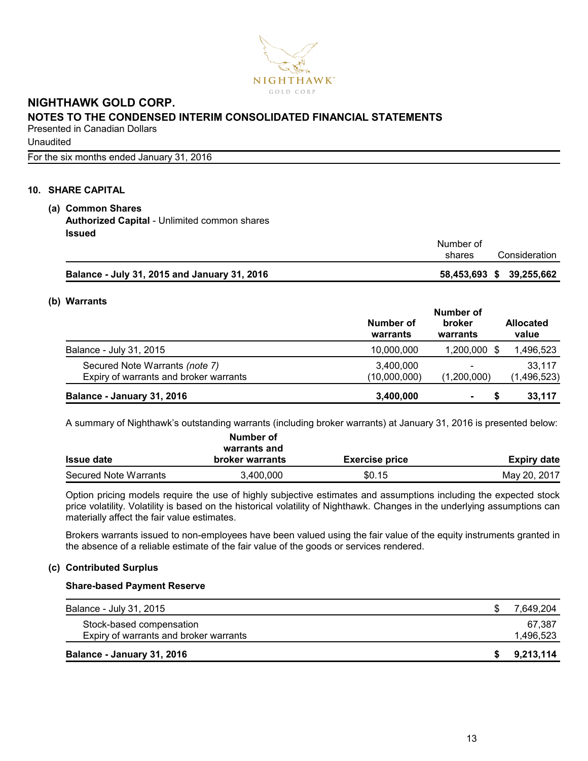

**Unaudited** 

For the six months ended January 31, 2016

## **10. SHARE CAPITAL**

# **(a) Common Shares Authorized Capital** - Unlimited common shares **Issued**

### **(b) Warrants**

|                                        | Number of             |                          |                           |  |  |
|----------------------------------------|-----------------------|--------------------------|---------------------------|--|--|
|                                        | Number of<br>warrants | broker<br>warrants       | <b>Allocated</b><br>value |  |  |
| Balance - July 31, 2015                | 10.000.000            | 1,200,000 \$             | 1,496,523                 |  |  |
| Secured Note Warrants (note 7)         | 3,400,000             | $\overline{\phantom{0}}$ | 33,117                    |  |  |
| Expiry of warrants and broker warrants | (10,000,000)          | (1,200,000)              | (1,496,523)               |  |  |
| Balance - January 31, 2016             | 3,400,000             | $\blacksquare$           | 33,117                    |  |  |

A summary of Nighthawk's outstanding warrants (including broker warrants) at January 31, 2016 is presented below:

|                       | Number of<br>warrants and |                       |              |
|-----------------------|---------------------------|-----------------------|--------------|
| <b>Issue date</b>     | <b>broker warrants</b>    | <b>Exercise price</b> | Expiry date  |
| Secured Note Warrants | 3,400,000                 | \$0.15                | May 20, 2017 |

Option pricing models require the use of highly subjective estimates and assumptions including the expected stock price volatility. Volatility is based on the historical volatility of Nighthawk. Changes in the underlying assumptions can materially affect the fair value estimates.

Brokers warrants issued to non-employees have been valued using the fair value of the equity instruments granted in the absence of a reliable estimate of the fair value of the goods or services rendered.

#### **(c) Contributed Surplus**

#### **Share-based Payment Reserve**

| Balance - July 31, 2015                | 7.649.204 |
|----------------------------------------|-----------|
| Stock-based compensation               | 67.387    |
| Expiry of warrants and broker warrants | 1,496,523 |
| Balance - January 31, 2016             | 9,213,114 |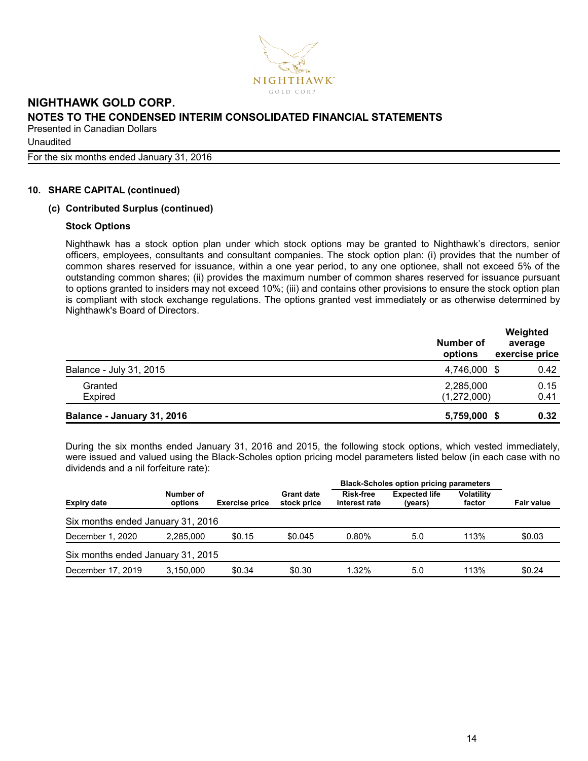

**Unaudited** 

For the six months ended January 31, 2016

### **10. SHARE CAPITAL (continued)**

### **(c) Contributed Surplus (continued)**

#### **Stock Options**

Nighthawk has a stock option plan under which stock options may be granted to Nighthawk's directors, senior officers, employees, consultants and consultant companies. The stock option plan: (i) provides that the number of common shares reserved for issuance, within a one year period, to any one optionee, shall not exceed 5% of the outstanding common shares; (ii) provides the maximum number of common shares reserved for issuance pursuant to options granted to insiders may not exceed 10%; (iii) and contains other provisions to ensure the stock option plan is compliant with stock exchange regulations. The options granted vest immediately or as otherwise determined by Nighthawk's Board of Directors.

|                            | Number of<br>options | Weighted<br>average<br>exercise price |
|----------------------------|----------------------|---------------------------------------|
| Balance - July 31, 2015    | 4,746,000 \$         | 0.42                                  |
| Granted                    | 2,285,000            | 0.15                                  |
| Expired                    | (1,272,000)          | 0.41                                  |
| Balance - January 31, 2016 | 5,759,000            | 0.32                                  |

During the six months ended January 31, 2016 and 2015, the following stock options, which vested immediately, were issued and valued using the Black-Scholes option pricing model parameters listed below (in each case with no dividends and a nil forfeiture rate):

|                                   |                      |                       |                                  | <b>Black-Scholes option pricing parameters</b> |                                 |                             |                   |
|-----------------------------------|----------------------|-----------------------|----------------------------------|------------------------------------------------|---------------------------------|-----------------------------|-------------------|
| <b>Expiry date</b>                | Number of<br>options | <b>Exercise price</b> | <b>Grant date</b><br>stock price | <b>Risk-free</b><br>interest rate              | <b>Expected life</b><br>(years) | <b>Volatility</b><br>factor | <b>Fair value</b> |
| Six months ended January 31, 2016 |                      |                       |                                  |                                                |                                 |                             |                   |
| December 1, 2020                  | 2.285.000            | \$0.15                | \$0.045                          | $0.80\%$                                       | 5.0                             | 113%                        | \$0.03            |
| Six months ended January 31, 2015 |                      |                       |                                  |                                                |                                 |                             |                   |
| December 17, 2019                 | 3.150.000            | \$0.34                | \$0.30                           | 1.32%                                          | 5.0                             | 113%                        | \$0.24            |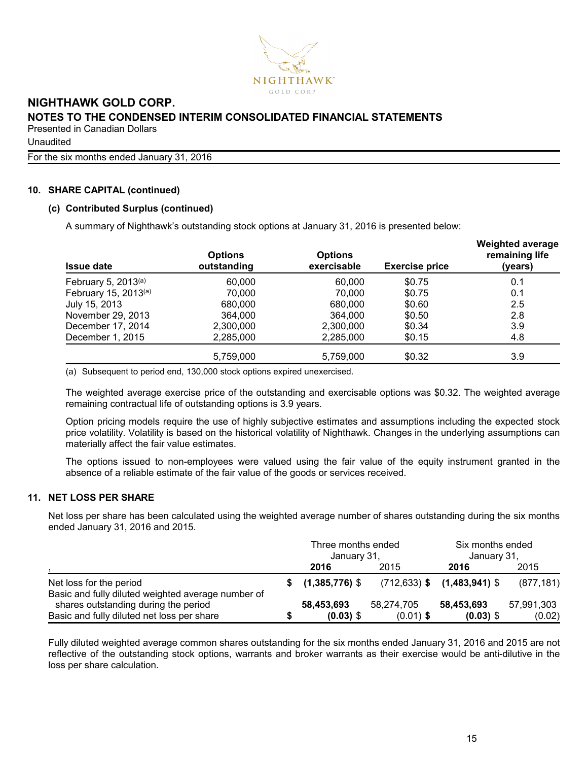

**Unaudited** 

For the six months ended January 31, 2016

### **10. SHARE CAPITAL (continued)**

#### **(c) Contributed Surplus (continued)**

A summary of Nighthawk's outstanding stock options at January 31, 2016 is presented below:

| <b>Issue date</b>        | <b>Options</b><br>outstanding | <b>Options</b><br>exercisable | <b>Exercise price</b> | <b>Weighted average</b><br>remaining life<br>(years) |
|--------------------------|-------------------------------|-------------------------------|-----------------------|------------------------------------------------------|
| February 5, $2013^{(a)}$ | 60,000                        | 60,000                        | \$0.75                | 0.1                                                  |
| February 15, 2013(a)     | 70,000                        | 70.000                        | \$0.75                | 0.1                                                  |
| July 15, 2013            | 680,000                       | 680,000                       | \$0.60                | 2.5                                                  |
| November 29, 2013        | 364,000                       | 364,000                       | \$0.50                | 2.8                                                  |
| December 17, 2014        | 2,300,000                     | 2,300,000                     | \$0.34                | 3.9                                                  |
| December 1, 2015         | 2,285,000                     | 2,285,000                     | \$0.15                | 4.8                                                  |
|                          | 5,759,000                     | 5,759,000                     | \$0.32                | 3.9                                                  |

(a) Subsequent to period end, 130,000 stock options expired unexercised.

The weighted average exercise price of the outstanding and exercisable options was \$0.32. The weighted average remaining contractual life of outstanding options is 3.9 years.

Option pricing models require the use of highly subjective estimates and assumptions including the expected stock price volatility. Volatility is based on the historical volatility of Nighthawk. Changes in the underlying assumptions can materially affect the fair value estimates.

The options issued to non-employees were valued using the fair value of the equity instrument granted in the absence of a reliable estimate of the fair value of the goods or services received.

## **11. NET LOSS PER SHARE**

Net loss per share has been calculated using the weighted average number of shares outstanding during the six months ended January 31, 2016 and 2015.

|                                                                               |  | Three months ended<br>January 31. |             | Six months ended<br>January 31,    |            |  |
|-------------------------------------------------------------------------------|--|-----------------------------------|-------------|------------------------------------|------------|--|
|                                                                               |  | 2016                              | 2015        | 2016                               | 2015       |  |
| Net loss for the period<br>Basic and fully diluted weighted average number of |  | $(1,385,776)$ \$                  |             | $(712, 633)$ \$ $(1, 483, 941)$ \$ | (877, 181) |  |
| shares outstanding during the period                                          |  | 58,453,693                        | 58,274,705  | 58,453,693                         | 57,991,303 |  |
| Basic and fully diluted net loss per share                                    |  | $(0.03)$ \$                       | $(0.01)$ \$ | $(0.03)$ \$                        | (0.02)     |  |

Fully diluted weighted average common shares outstanding for the six months ended January 31, 2016 and 2015 are not reflective of the outstanding stock options, warrants and broker warrants as their exercise would be anti-dilutive in the loss per share calculation.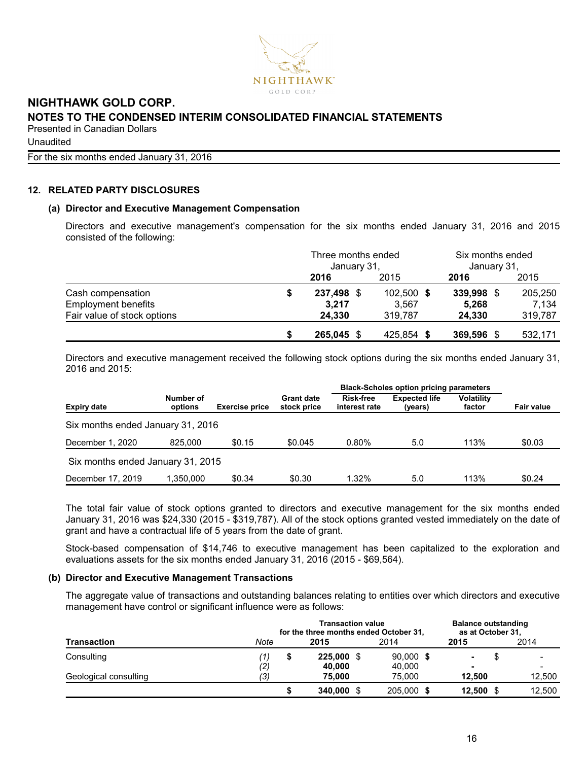

**Unaudited** 

For the six months ended January 31, 2016

### **12. RELATED PARTY DISCLOSURES**

#### **(a) Director and Executive Management Compensation**

Directors and executive management's compensation for the six months ended January 31, 2016 and 2015 consisted of the following:

|                             | Three months ended<br>January 31, |            | Six months ended<br>January 31, |         |  |
|-----------------------------|-----------------------------------|------------|---------------------------------|---------|--|
|                             | 2016                              | 2015       | 2016                            | 2015    |  |
| Cash compensation           | 237,498 \$                        | 102,500 \$ | 339,998                         | 205,250 |  |
| <b>Employment benefits</b>  | 3.217                             | 3,567      | 5,268                           | 7.134   |  |
| Fair value of stock options | 24.330                            | 319.787    | 24.330                          | 319,787 |  |
|                             | 265,045 \$                        | 425,854 \$ | 369,596                         | 532,171 |  |

Directors and executive management received the following stock options during the six months ended January 31, 2016 and 2015:

|                                   |                      |                       |                                  | <b>Black-Scholes option pricing parameters</b> |                                 |                             |            |
|-----------------------------------|----------------------|-----------------------|----------------------------------|------------------------------------------------|---------------------------------|-----------------------------|------------|
| <b>Expiry date</b>                | Number of<br>options | <b>Exercise price</b> | <b>Grant date</b><br>stock price | Risk-free<br>interest rate                     | <b>Expected life</b><br>(years) | <b>Volatility</b><br>factor | Fair value |
| Six months ended January 31, 2016 |                      |                       |                                  |                                                |                                 |                             |            |
| December 1, 2020                  | 825,000              | \$0.15                | \$0.045                          | $0.80\%$                                       | 5.0                             | 113%                        | \$0.03     |
| Six months ended January 31, 2015 |                      |                       |                                  |                                                |                                 |                             |            |
| December 17, 2019                 | 1.350.000            | \$0.34                | \$0.30                           | $1.32\%$                                       | 5.0                             | 113%                        | \$0.24     |

The total fair value of stock options granted to directors and executive management for the six months ended January 31, 2016 was \$24,330 (2015 - \$319,787). All of the stock options granted vested immediately on the date of grant and have a contractual life of 5 years from the date of grant.

Stock-based compensation of \$14,746 to executive management has been capitalized to the exploration and evaluations assets for the six months ended January 31, 2016 (2015 - \$69,564).

#### **(b) Director and Executive Management Transactions**

The aggregate value of transactions and outstanding balances relating to entities over which directors and executive management have control or significant influence were as follows:

|                       | for the three months ended October 31, | <b>Balance outstanding</b><br>as at October 31, |            |             |                |      |        |
|-----------------------|----------------------------------------|-------------------------------------------------|------------|-------------|----------------|------|--------|
| <b>Transaction</b>    | Note                                   | 2015                                            |            | 2014        | 2015           | 2014 |        |
| Consulting            | ′1,                                    | S                                               | 225,000 \$ | $90,000$ \$ | $\blacksquare$ |      |        |
|                       | (2)                                    |                                                 | 40,000     | 40,000      | ۰              |      |        |
| Geological consulting | (3)                                    |                                                 | 75.000     | 75.000      | 12.500         |      | 12,500 |
|                       |                                        |                                                 | 340,000 \$ | 205,000     | 12,500         |      | 12.500 |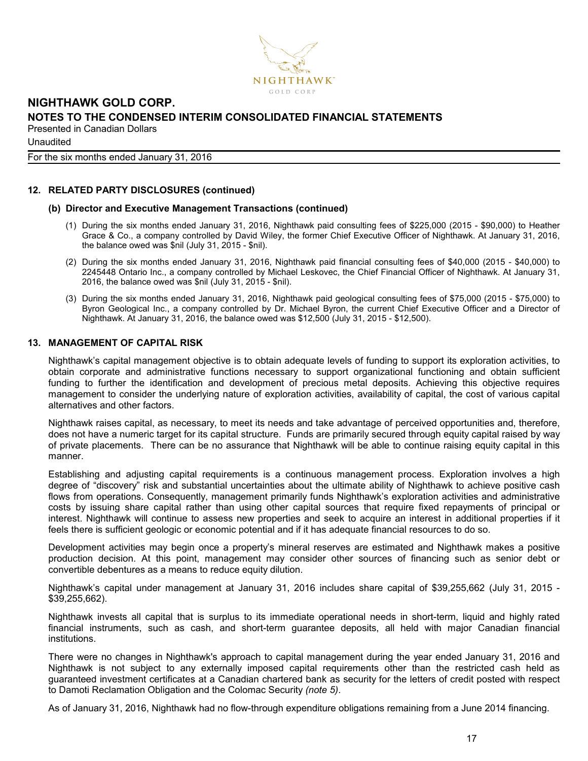

For the six months ended January 31, 2016

#### **12. RELATED PARTY DISCLOSURES (continued)**

#### **(b) Director and Executive Management Transactions (continued)**

- (1) During the six months ended January 31, 2016, Nighthawk paid consulting fees of \$225,000 (2015 \$90,000) to Heather Grace & Co., a company controlled by David Wiley, the former Chief Executive Officer of Nighthawk. At January 31, 2016, the balance owed was \$nil (July 31, 2015 - \$nil).
- (2) During the six months ended January 31, 2016, Nighthawk paid financial consulting fees of \$40,000 (2015 \$40,000) to 2245448 Ontario Inc., a company controlled by Michael Leskovec, the Chief Financial Officer of Nighthawk. At January 31, 2016, the balance owed was \$nil (July 31, 2015 - \$nil).
- (3) During the six months ended January 31, 2016, Nighthawk paid geological consulting fees of \$75,000 (2015 \$75,000) to Byron Geological Inc., a company controlled by Dr. Michael Byron, the current Chief Executive Officer and a Director of Nighthawk. At January 31, 2016, the balance owed was \$12,500 (July 31, 2015 - \$12,500).

#### **13. MANAGEMENT OF CAPITAL RISK**

Nighthawk's capital management objective is to obtain adequate levels of funding to support its exploration activities, to obtain corporate and administrative functions necessary to support organizational functioning and obtain sufficient funding to further the identification and development of precious metal deposits. Achieving this objective requires management to consider the underlying nature of exploration activities, availability of capital, the cost of various capital alternatives and other factors.

Nighthawk raises capital, as necessary, to meet its needs and take advantage of perceived opportunities and, therefore, does not have a numeric target for its capital structure. Funds are primarily secured through equity capital raised by way of private placements. There can be no assurance that Nighthawk will be able to continue raising equity capital in this manner.

Establishing and adjusting capital requirements is a continuous management process. Exploration involves a high degree of "discovery" risk and substantial uncertainties about the ultimate ability of Nighthawk to achieve positive cash flows from operations. Consequently, management primarily funds Nighthawk's exploration activities and administrative costs by issuing share capital rather than using other capital sources that require fixed repayments of principal or interest. Nighthawk will continue to assess new properties and seek to acquire an interest in additional properties if it feels there is sufficient geologic or economic potential and if it has adequate financial resources to do so.

Development activities may begin once a property's mineral reserves are estimated and Nighthawk makes a positive production decision. At this point, management may consider other sources of financing such as senior debt or convertible debentures as a means to reduce equity dilution.

Nighthawk's capital under management at January 31, 2016 includes share capital of \$39,255,662 (July 31, 2015 - \$39,255,662).

Nighthawk invests all capital that is surplus to its immediate operational needs in short-term, liquid and highly rated financial instruments, such as cash, and short-term guarantee deposits, all held with major Canadian financial institutions.

There were no changes in Nighthawk's approach to capital management during the year ended January 31, 2016 and Nighthawk is not subject to any externally imposed capital requirements other than the restricted cash held as guaranteed investment certificates at a Canadian chartered bank as security for the letters of credit posted with respect to Damoti Reclamation Obligation and the Colomac Security *(note 5)*.

As of January 31, 2016, Nighthawk had no flow-through expenditure obligations remaining from a June 2014 financing.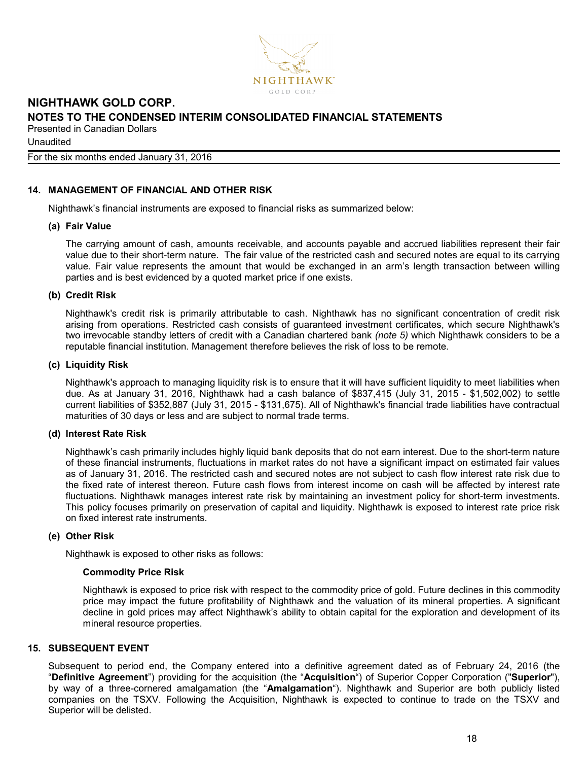

**Unaudited** 

#### For the six months ended January 31, 2016

## **14. MANAGEMENT OF FINANCIAL AND OTHER RISK**

Nighthawk's financial instruments are exposed to financial risks as summarized below:

#### **(a) Fair Value**

The carrying amount of cash, amounts receivable, and accounts payable and accrued liabilities represent their fair value due to their short-term nature. The fair value of the restricted cash and secured notes are equal to its carrying value. Fair value represents the amount that would be exchanged in an arm's length transaction between willing parties and is best evidenced by a quoted market price if one exists.

#### **(b) Credit Risk**

Nighthawk's credit risk is primarily attributable to cash. Nighthawk has no significant concentration of credit risk arising from operations. Restricted cash consists of guaranteed investment certificates, which secure Nighthawk's two irrevocable standby letters of credit with a Canadian chartered bank *(note 5)* which Nighthawk considers to be a reputable financial institution. Management therefore believes the risk of loss to be remote.

## **(c) Liquidity Risk**

Nighthawk's approach to managing liquidity risk is to ensure that it will have sufficient liquidity to meet liabilities when due. As at January 31, 2016, Nighthawk had a cash balance of \$837,415 (July 31, 2015 - \$1,502,002) to settle current liabilities of \$352,887 (July 31, 2015 - \$131,675). All of Nighthawk's financial trade liabilities have contractual maturities of 30 days or less and are subject to normal trade terms.

#### **(d) Interest Rate Risk**

Nighthawk's cash primarily includes highly liquid bank deposits that do not earn interest. Due to the short-term nature of these financial instruments, fluctuations in market rates do not have a significant impact on estimated fair values as of January 31, 2016. The restricted cash and secured notes are not subject to cash flow interest rate risk due to the fixed rate of interest thereon. Future cash flows from interest income on cash will be affected by interest rate fluctuations. Nighthawk manages interest rate risk by maintaining an investment policy for short-term investments. This policy focuses primarily on preservation of capital and liquidity. Nighthawk is exposed to interest rate price risk on fixed interest rate instruments.

#### **(e) Other Risk**

Nighthawk is exposed to other risks as follows:

#### **Commodity Price Risk**

Nighthawk is exposed to price risk with respect to the commodity price of gold. Future declines in this commodity price may impact the future profitability of Nighthawk and the valuation of its mineral properties. A significant decline in gold prices may affect Nighthawk's ability to obtain capital for the exploration and development of its mineral resource properties.

#### **15. SUBSEQUENT EVENT**

Subsequent to period end, the Company entered into a definitive agreement dated as of February 24, 2016 (the "**Definitive Agreement**") providing for the acquisition (the "**Acquisition**") of Superior Copper Corporation ("**Superior**"), by way of a three-cornered amalgamation (the "**Amalgamation**"). Nighthawk and Superior are both publicly listed companies on the TSXV. Following the Acquisition, Nighthawk is expected to continue to trade on the TSXV and Superior will be delisted.